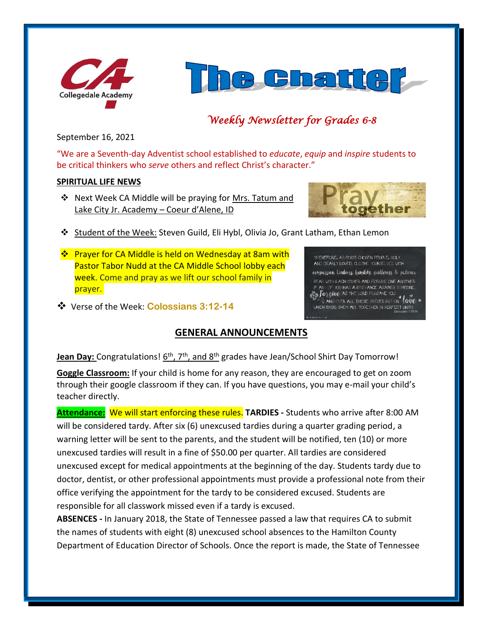



# *Weekly Newsletter for Grades 6-8*

September 16, 2021

"We are a Seventh-day Adventist school established to *educate*, *equip* and *inspire* students to be critical thinkers who *serve* others and reflect Christ's character."

## **SPIRITUAL LIFE NEWS**

❖ Next Week CA Middle will be praying for Mrs. Tatum and Lake City Jr. Academy – Coeur d'Alene, ID



THEREFORE, AS GOD'S CHOSEN PEOPLE, HOLY AND DEARLY LOVED, CLOTHE YOURSELVES WITH compassion, kindness, humility, gentleness, & patience BEAR WITH EACH OTHER AND FORGIVE ONE ANOTHER IF ANY OF YOU HAS A GRIEVANCE AGAINST SOMEONE **Example 200 AAS A GREVANCE ADAMS FOR** 

- ❖ Student of the Week: Steven Guild, Eli Hybl, Olivia Jo, Grant Latham, Ethan Lemon
- ❖ Prayer for CA Middle is held on Wednesday at 8am with Pastor Tabor Nudd at the CA Middle School lobby each week. Come and pray as we lift our school family in prayer.
- ❖ Verse of the Week: **Colossians 3:12-14**

# **GENERAL ANNOUNCEMENTS**

**Jean Day:** Congratulations! 6<sup>th</sup>, 7<sup>th</sup>, and 8<sup>th</sup> grades have Jean/School Shirt Day Tomorrow!

**Goggle Classroom:** If your child is home for any reason, they are encouraged to get on zoom through their google classroom if they can. If you have questions, you may e-mail your child's teacher directly.

**Attendance:** We will start enforcing these rules. **TARDIES -** Students who arrive after 8:00 AM will be considered tardy. After six (6) unexcused tardies during a quarter grading period, a warning letter will be sent to the parents, and the student will be notified, ten (10) or more unexcused tardies will result in a fine of \$50.00 per quarter. All tardies are considered unexcused except for medical appointments at the beginning of the day. Students tardy due to doctor, dentist, or other professional appointments must provide a professional note from their office verifying the appointment for the tardy to be considered excused. Students are responsible for all classwork missed even if a tardy is excused.

**ABSENCES -** In January 2018, the State of Tennessee passed a law that requires CA to submit the names of students with eight (8) unexcused school absences to the Hamilton County Department of Education Director of Schools. Once the report is made, the State of Tennessee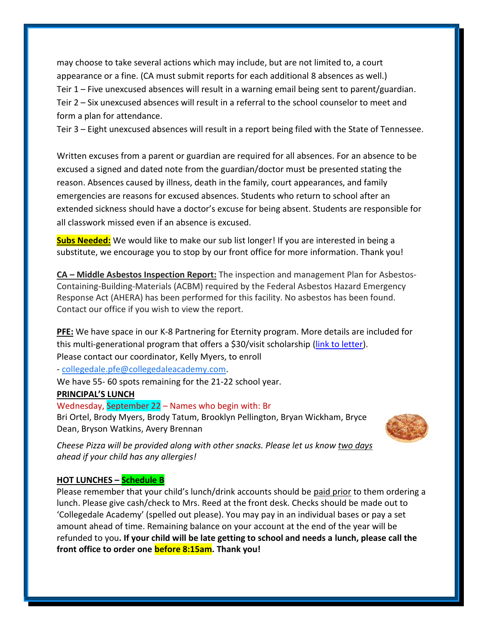may choose to take several actions which may include, but are not limited to, a court appearance or a fine. (CA must submit reports for each additional 8 absences as well.) Teir 1 – Five unexcused absences will result in a warning email being sent to parent/guardian. Teir 2 – Six unexcused absences will result in a referral to the school counselor to meet and form a plan for attendance.

Teir 3 – Eight unexcused absences will result in a report being filed with the State of Tennessee.

Written excuses from a parent or guardian are required for all absences. For an absence to be excused a signed and dated note from the guardian/doctor must be presented stating the reason. Absences caused by illness, death in the family, court appearances, and family emergencies are reasons for excused absences. Students who return to school after an extended sickness should have a doctor's excuse for being absent. Students are responsible for all classwork missed even if an absence is excused.

**Subs Needed:** We would like to make our sub list longer! If you are interested in being a substitute, we encourage you to stop by our front office for more information. Thank you!

**CA – Middle Asbestos Inspection Report:** The inspection and management Plan for Asbestos-Containing-Building-Materials (ACBM) required by the Federal Asbestos Hazard Emergency Response Act (AHERA) has been performed for this facility. No asbestos has been found. Contact our office if you wish to view the report.

**PFE:** We have space in our K-8 Partnering for Eternity program. More details are included for this multi-generational program that offers a \$30/visit scholarship [\(link to letter\)](https://www.collegedaleacademy.com/wp-content/uploads/2021/09/PFE_PgmEntryExplanation_2021_K-8.pdf). Please contact our coordinator, Kelly Myers, to enroll

- [collegedale.pfe@collegedaleacademy.com.](mailto:collegedale.pfe@collegedaleacademy.com)

We have 55- 60 spots remaining for the 21-22 school year.

#### **PRINCIPAL'S LUNCH**

#### Wednesday, September 22 – Names who begin with: Br

Bri Ortel, Brody Myers, Brody Tatum, Brooklyn Pellington, Bryan Wickham, Bryce Dean, Bryson Watkins, Avery Brennan



*Cheese Pizza will be provided along with other snacks. Please let us know two days ahead if your child has any allergies!*

#### **HOT LUNCHES – Schedule B**

Please remember that your child's lunch/drink accounts should be paid prior to them ordering a lunch. Please give cash/check to Mrs. Reed at the front desk. Checks should be made out to 'Collegedale Academy' (spelled out please). You may pay in an individual bases or pay a set amount ahead of time. Remaining balance on your account at the end of the year will be refunded to you**. If your child will be late getting to school and needs a lunch, please call the front office to order one before 8:15am. Thank you!**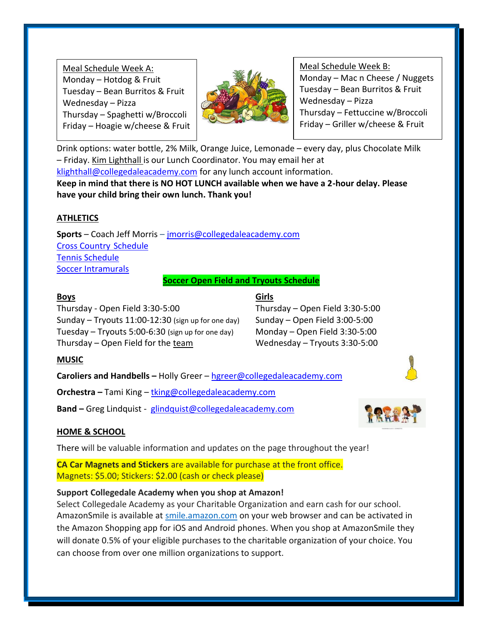Meal Schedule Week A: Monday – Hotdog & Fruit Tuesday – Bean Burritos & Fruit Wednesday – Pizza Thursday – Spaghetti w/Broccoli Friday – Hoagie w/cheese & Fruit



Meal Schedule Week B: Monday – Mac n Cheese / Nuggets Tuesday – Bean Burritos & Fruit Wednesday – Pizza Thursday – Fettuccine w/Broccoli Friday – Griller w/cheese & Fruit

Drink options: water bottle, 2% Milk, Orange Juice, Lemonade – every day, plus Chocolate Milk – Friday. Kim Lighthall is our Lunch Coordinator. You may email her at [klighthall@collegedaleacademy.com](mailto:klighthall@collegedaleacademy.com) for any lunch account information. **Keep in mind that there is NO HOT LUNCH available when we have a 2-hour delay. Please**

**have your child bring their own lunch. Thank you!**

# **ATHLETICS**

**Sports** – Coach Jeff Morris – [jmorris@collegedaleacademy.com](mailto:jmorris@collegedaleacademy.com) [Cross Country](https://www.collegedaleacademy.com/wp-content/uploads/2021/08/2021-2022-Cross-Country-Schedule.pdf) Schedule [Tennis Schedule](https://www.collegedaleacademy.com/wp-content/uploads/2021/08/2021-2022-Tennis-Schedule.pdf) **[Soccer Intramurals](https://www.collegedaleacademy.com/wp-content/uploads/2021/08/Soccer-intramural-Teams-n-Schedule.pdf)** 

**Soccer Open Field and Tryouts Schedule**

# **Boys Girls**

Thursday - Open Field 3:30-5:00 Thursday – Open Field 3:30-5:00 Sunday – Tryouts 11:00-12:30 (sign up for one day) Sunday – Open Field 3:00-5:00 Tuesday – Tryouts 5:00-6:30 (sign up for one day) Monday – Open Field 3:30-5:00 Thursday – Open Field for the team Wednesday – Tryouts 3:30-5:00

# **MUSIC**

**Caroliers and Handbells –** Holly Greer – [hgreer@collegedaleacademy.com](mailto:hgreer@collegedaleacademy.com)

**Orchestra –** Tami King – [tking@collegedaleacademy.com](mailto:tking@collegedaleacademy.com)

**Band –** Greg Lindquist - [glindquist@collegedaleacademy.com](mailto:glindquist@collegedaleacademy.com)



# **HOME & SCHOOL**

There will be valuable information and updates on the page throughout the year!

**CA Car Magnets and Stickers** are available for purchase at the front office. Magnets: \$5.00; Stickers: \$2.00 (cash or check please)

# **Support Collegedale Academy when you shop at Amazon!**

Select Collegedale Academy as your Charitable Organization and earn cash for our school. AmazonSmile is available at [smile.amazon.com](https://smile.amazon.com/ref=smi_se_saas_lsmi_smi) on your web browser and can be activated in the Amazon Shopping app for iOS and Android phones. When you shop at AmazonSmile they will donate 0.5% of your eligible purchases to the charitable organization of your choice. You can choose from over one million organizations to support.